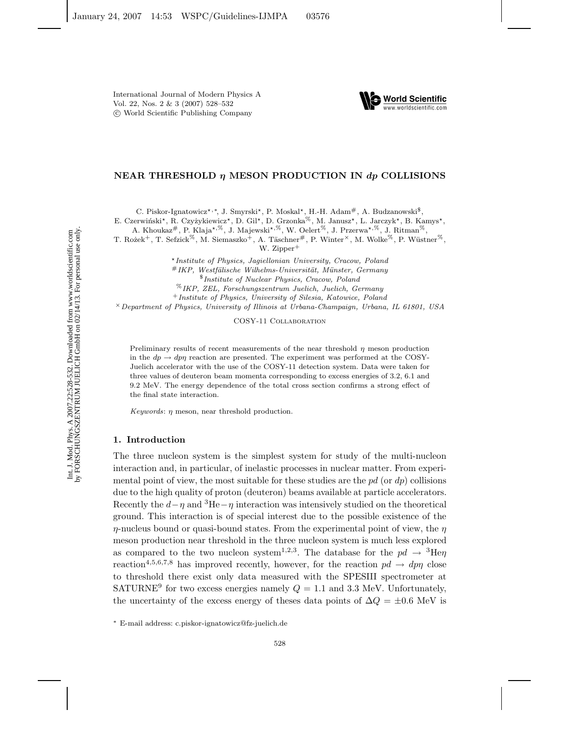

#### **NEAR THRESHOLD** *η* **MESON PRODUCTION IN** *dp* **COLLISIONS**

C. Piskor-Ignatowicz\*,\*, J. Smyrski\*, P. Moskal\*, H.-H. Adam#, A. Budzanowski $\$ 

E. Czerwiński\*, R. Czyżykiewicz\*, D. Gil\*, D. Grzonka<sup>%</sup>, M. Janusz\*, L. Jarczyk\*, B. Kamys\*,

A. Khoukaz<sup>#</sup>, P. Klaja<sup>\*,%</sup>, J. Majewski<sup>\*,%</sup>, W. Oelert<sup>%</sup>, J. Przerwa<sup>\*,%</sup>, J. Ritman<sup>%</sup>,

T. Rożek<sup>+</sup>, T. Sefzick<sup>%</sup>, M. Siemaszko<sup>+</sup>, A. Täschner<sup>#</sup>, P. Winter<sup>×</sup>, M. Wolke<sup>%</sup>, P. Wüstner<sup>%</sup>,

W. Zipper<sup>+</sup>

*Institute of Physics, Jagiellonian University, Cracow, Poland* #IKP, Westfälische Wilhelms-Universität, Münster, Germany \$*Institute of Nuclear Physics, Cracow, Poland* %*IKP, ZEL, Forschungszentrum Juelich, Juelich, Germany* <sup>+</sup>*Institute of Physics, University of Silesia, Katowice, Poland*

×*Department of Physics, University of Illinois at Urbana-Champaign, Urbana, IL 61801, USA*

COSY-11 Collaboration

Preliminary results of recent measurements of the near threshold  $\eta$  meson production in the  $dp \rightarrow dp\eta$  reaction are presented. The experiment was performed at the COSY-Juelich accelerator with the use of the COSY-11 detection system. Data were taken for three values of deuteron beam momenta corresponding to excess energies of 3.2, 6.1 and 9.2 MeV. The energy dependence of the total cross section confirms a strong effect of the final state interaction.

*Keywords*: η meson, near threshold production.

# **1. Introduction**

The three nucleon system is the simplest system for study of the multi-nucleon interaction and, in particular, of inelastic processes in nuclear matter. From experimental point of view, the most suitable for these studies are the  $pd$  (or  $dp$ ) collisions due to the high quality of proton (deuteron) beams available at particle accelerators. Recently the  $d-\eta$  and <sup>3</sup>He− $\eta$  interaction was intensively studied on the theoretical ground. This interaction is of special interest due to the possible existence of the  $\eta$ -nucleus bound or quasi-bound states. From the experimental point of view, the  $\eta$ meson production near threshold in the three nucleon system is much less explored as compared to the two nucleon system<sup>1,2,3</sup>. The database for the  $pd \rightarrow 3$ Hen reaction<sup>4,5,6,7,8</sup> has improved recently, however, for the reaction  $pd \rightarrow dp\eta$  close to threshold there exist only data measured with the SPESIII spectrometer at SATURNE<sup>9</sup> for two excess energies namely  $Q = 1.1$  and 3.3 MeV. Unfortunately, the uncertainty of the excess energy of theses data points of  $\Delta Q = \pm 0.6$  MeV is

∗ E-mail address: c.piskor-ignatowicz@fz-juelich.de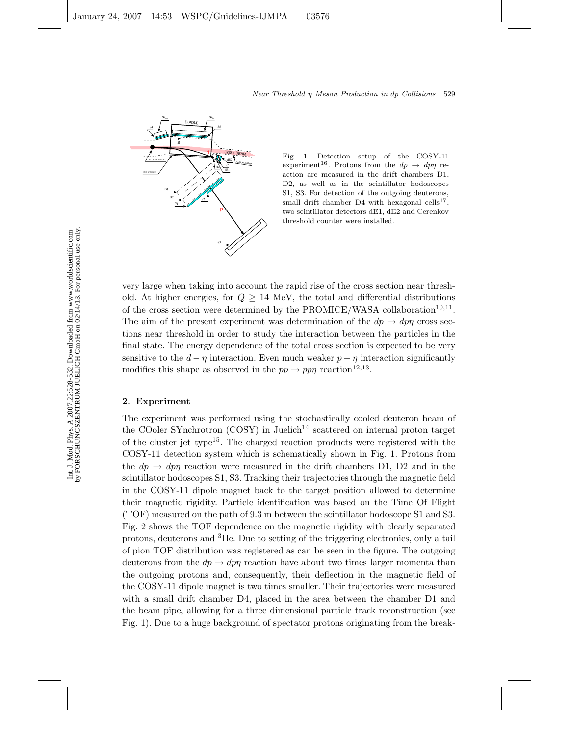

Fig. 1. Detection setup of the COSY-11 experiment<sup>16</sup>. Protons from the  $dp \rightarrow dp\eta$  reaction are measured in the drift chambers D1, D2, as well as in the scintillator hodoscopes S1, S3. For detection of the outgoing deuterons, small drift chamber  $D4$  with hexagonal cells<sup>17</sup>. two scintillator detectors dE1, dE2 and Cerenkov threshold counter were installed.

very large when taking into account the rapid rise of the cross section near threshold. At higher energies, for  $Q \geq 14$  MeV, the total and differential distributions of the cross section were determined by the PROMICE/WASA collaboration<sup>10</sup>*,*<sup>11</sup>. The aim of the present experiment was determination of the  $dp \rightarrow dp\eta$  cross sections near threshold in order to study the interaction between the particles in the final state. The energy dependence of the total cross section is expected to be very sensitive to the  $d - \eta$  interaction. Even much weaker  $p - \eta$  interaction significantly modifies this shape as observed in the  $pp \to pp\eta$  reaction<sup>12,13</sup>.

# **2. Experiment**

The experiment was performed using the stochastically cooled deuteron beam of the COoler SYnchrotron (COSY) in Juelich<sup>14</sup> scattered on internal proton target of the cluster jet type<sup>15</sup>. The charged reaction products were registered with the COSY-11 detection system which is schematically shown in Fig. 1. Protons from the  $dp \rightarrow dp\eta$  reaction were measured in the drift chambers D1, D2 and in the scintillator hodoscopes S1, S3. Tracking their trajectories through the magnetic field in the COSY-11 dipole magnet back to the target position allowed to determine their magnetic rigidity. Particle identification was based on the Time Of Flight (TOF) measured on the path of 9.3 m between the scintillator hodoscope S1 and S3. Fig. 2 shows the TOF dependence on the magnetic rigidity with clearly separated protons, deuterons and <sup>3</sup>He. Due to setting of the triggering electronics, only a tail of pion TOF distribution was registered as can be seen in the figure. The outgoing deuterons from the  $dp \rightarrow dp\eta$  reaction have about two times larger momenta than the outgoing protons and, consequently, their deflection in the magnetic field of the COSY-11 dipole magnet is two times smaller. Their trajectories were measured with a small drift chamber D4, placed in the area between the chamber D1 and the beam pipe, allowing for a three dimensional particle track reconstruction (see Fig. 1). Due to a huge background of spectator protons originating from the break-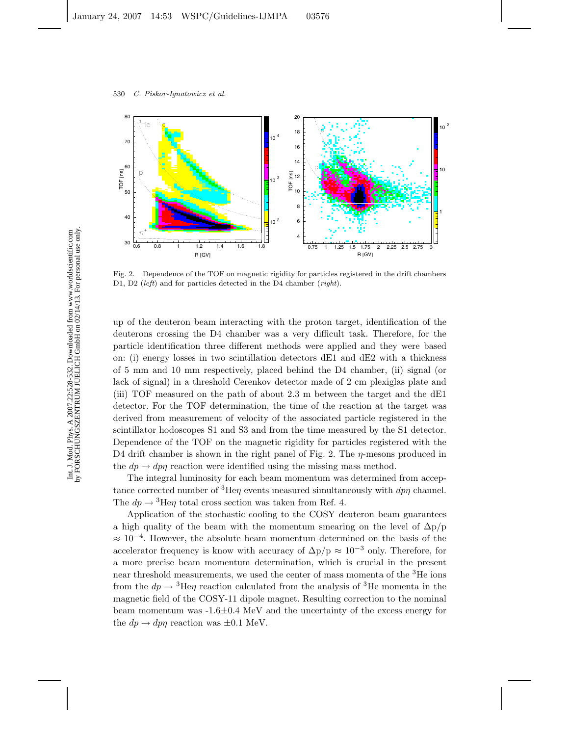

Fig. 2. Dependence of the TOF on magnetic rigidity for particles registered in the drift chambers D1, D2 (*left*) and for particles detected in the D4 chamber (*right*).

up of the deuteron beam interacting with the proton target, identification of the deuterons crossing the D4 chamber was a very difficult task. Therefore, for the particle identification three different methods were applied and they were based on: (i) energy losses in two scintillation detectors dE1 and dE2 with a thickness of 5 mm and 10 mm respectively, placed behind the D4 chamber, (ii) signal (or lack of signal) in a threshold Cerenkov detector made of 2 cm plexiglas plate and (iii) TOF measured on the path of about 2.3 m between the target and the dE1 detector. For the TOF determination, the time of the reaction at the target was derived from measurement of velocity of the associated particle registered in the scintillator hodoscopes S1 and S3 and from the time measured by the S1 detector. Dependence of the TOF on the magnetic rigidity for particles registered with the D4 drift chamber is shown in the right panel of Fig. 2. The  $\eta$ -mesons produced in the  $dp \rightarrow dp\eta$  reaction were identified using the missing mass method.

The integral luminosity for each beam momentum was determined from acceptance corrected number of  ${}^{3}$ He $\eta$  events measured simultaneously with  $dp\eta$  channel. The  $dp \rightarrow {}^{3}\text{He}\eta$  total cross section was taken from Ref. 4.

Application of the stochastic cooling to the COSY deuteron beam guarantees a high quality of the beam with the momentum smearing on the level of  $\Delta p/p$ <sup>≈</sup> <sup>10</sup>*<sup>−</sup>*<sup>4</sup>. However, the absolute beam momentum determined on the basis of the accelerator frequency is know with accuracy of  $\Delta p/p \approx 10^{-3}$  only. Therefore, for a more precise beam momentum determination, which is crucial in the present near threshold measurements, we used the center of mass momenta of the <sup>3</sup>He ions from the  $dp \rightarrow {}^{3}$ He $\eta$  reaction calculated from the analysis of  ${}^{3}$ He momenta in the magnetic field of the COSY-11 dipole magnet. Resulting correction to the nominal beam momentum was  $-1.6\pm0.4$  MeV and the uncertainty of the excess energy for the  $dp \rightarrow dp\eta$  reaction was  $\pm 0.1$  MeV.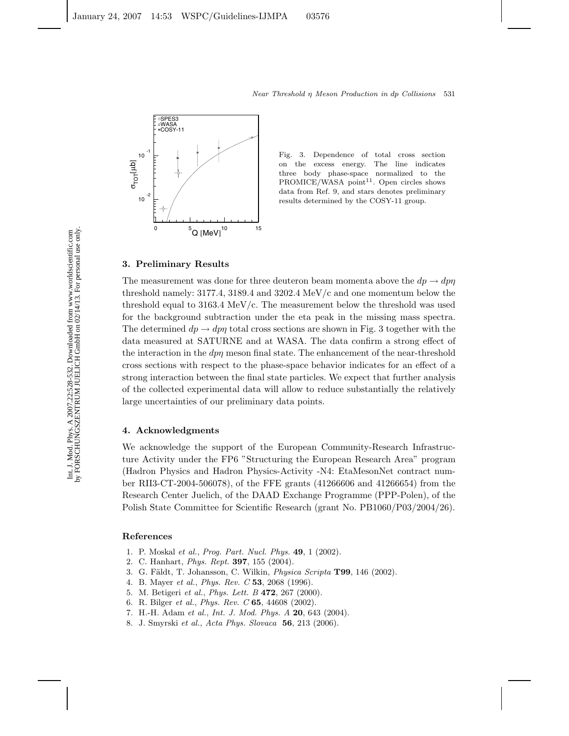

Fig. 3. Dependence of total cross section on the excess energy. The line indicates three body phase-space normalized to the  $PROMICE/WASA$  point<sup>11</sup>. Open circles shows data from Ref. 9, and stars denotes preliminary results determined by the COSY-11 group.

## **3. Preliminary Results**

The measurement was done for three deuteron beam momenta above the  $dp \rightarrow dp\eta$ threshold namely: 3177.4, 3189.4 and 3202.4 MeV/c and one momentum below the threshold equal to  $3163.4 \text{ MeV/c}$ . The measurement below the threshold was used for the background subtraction under the eta peak in the missing mass spectra. The determined  $dp \rightarrow dp\eta$  total cross sections are shown in Fig. 3 together with the data measured at SATURNE and at WASA. The data confirm a strong effect of the interaction in the  $d\eta\eta$  meson final state. The enhancement of the near-threshold cross sections with respect to the phase-space behavior indicates for an effect of a strong interaction between the final state particles. We expect that further analysis of the collected experimental data will allow to reduce substantially the relatively large uncertainties of our preliminary data points.

### **4. Acknowledgments**

We acknowledge the support of the European Community-Research Infrastructure Activity under the FP6 "Structuring the European Research Area" program (Hadron Physics and Hadron Physics-Activity -N4: EtaMesonNet contract number RII3-CT-2004-506078), of the FFE grants (41266606 and 41266654) from the Research Center Juelich, of the DAAD Exchange Programme (PPP-Polen), of the Polish State Committee for Scientific Research (grant No. PB1060/P03/2004/26).

### **References**

- 1. P. Moskal *et al.*, *Prog. Part. Nucl. Phys.* **49**, 1 (2002).
- 2. C. Hanhart, *Phys. Rept.* **397**, 155 (2004).
- 3. G. F¨aldt, T. Johansson, C. Wilkin, *Physica Scripta* **T99**, 146 (2002).
- 4. B. Mayer *et al.*, *Phys. Rev. C* **53**, 2068 (1996).
- 5. M. Betigeri *et al.*, *Phys. Lett. B* **472**, 267 (2000).
- 6. R. Bilger *et al.*, *Phys. Rev. C* **65**, 44608 (2002).
- 7. H.-H. Adam *et al.*, *Int. J. Mod. Phys. A* **20**, 643 (2004).
- 8. J. Smyrski *et al.*, *Acta Phys. Slovaca* **56**, 213 (2006).